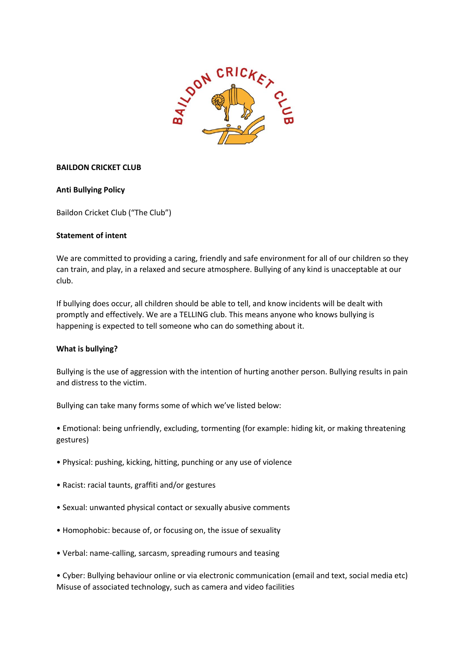

# **BAILDON CRICKET CLUB**

# **Anti Bullying Policy**

Baildon Cricket Club ("The Club")

## **Statement of intent**

We are committed to providing a caring, friendly and safe environment for all of our children so they can train, and play, in a relaxed and secure atmosphere. Bullying of any kind is unacceptable at our club.

If bullying does occur, all children should be able to tell, and know incidents will be dealt with promptly and effectively. We are a TELLING club. This means anyone who knows bullying is happening is expected to tell someone who can do something about it.

## **What is bullying?**

Bullying is the use of aggression with the intention of hurting another person. Bullying results in pain and distress to the victim.

Bullying can take many forms some of which we've listed below:

• Emotional: being unfriendly, excluding, tormenting (for example: hiding kit, or making threatening gestures)

- Physical: pushing, kicking, hitting, punching or any use of violence
- Racist: racial taunts, graffiti and/or gestures
- Sexual: unwanted physical contact or sexually abusive comments
- Homophobic: because of, or focusing on, the issue of sexuality
- Verbal: name-calling, sarcasm, spreading rumours and teasing

• Cyber: Bullying behaviour online or via electronic communication (email and text, social media etc) Misuse of associated technology, such as camera and video facilities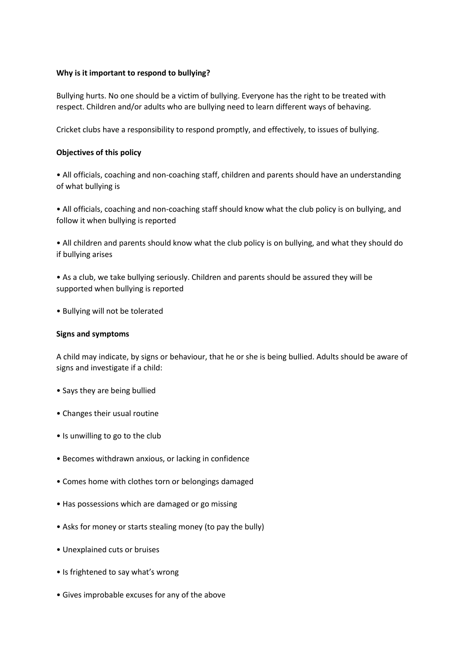## **Why is it important to respond to bullying?**

Bullying hurts. No one should be a victim of bullying. Everyone has the right to be treated with respect. Children and/or adults who are bullying need to learn different ways of behaving.

Cricket clubs have a responsibility to respond promptly, and effectively, to issues of bullying.

# **Objectives of this policy**

• All officials, coaching and non-coaching staff, children and parents should have an understanding of what bullying is

• All officials, coaching and non-coaching staff should know what the club policy is on bullying, and follow it when bullying is reported

• All children and parents should know what the club policy is on bullying, and what they should do if bullying arises

• As a club, we take bullying seriously. Children and parents should be assured they will be supported when bullying is reported

• Bullying will not be tolerated

## **Signs and symptoms**

A child may indicate, by signs or behaviour, that he or she is being bullied. Adults should be aware of signs and investigate if a child:

- Says they are being bullied
- Changes their usual routine
- Is unwilling to go to the club
- Becomes withdrawn anxious, or lacking in confidence
- Comes home with clothes torn or belongings damaged
- Has possessions which are damaged or go missing
- Asks for money or starts stealing money (to pay the bully)
- Unexplained cuts or bruises
- Is frightened to say what's wrong
- Gives improbable excuses for any of the above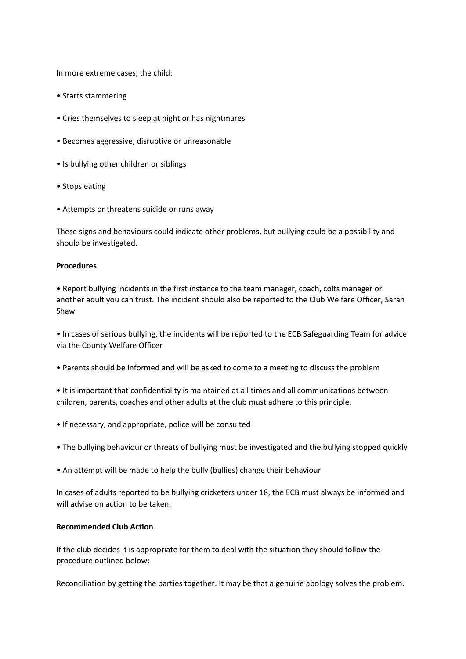In more extreme cases, the child:

- Starts stammering
- Cries themselves to sleep at night or has nightmares
- Becomes aggressive, disruptive or unreasonable
- Is bullying other children or siblings
- Stops eating
- Attempts or threatens suicide or runs away

These signs and behaviours could indicate other problems, but bullying could be a possibility and should be investigated.

#### **Procedures**

• Report bullying incidents in the first instance to the team manager, coach, colts manager or another adult you can trust. The incident should also be reported to the Club Welfare Officer, Sarah Shaw

• In cases of serious bullying, the incidents will be reported to the ECB Safeguarding Team for advice via the County Welfare Officer

- Parents should be informed and will be asked to come to a meeting to discuss the problem
- It is important that confidentiality is maintained at all times and all communications between children, parents, coaches and other adults at the club must adhere to this principle.
- If necessary, and appropriate, police will be consulted
- The bullying behaviour or threats of bullying must be investigated and the bullying stopped quickly
- An attempt will be made to help the bully (bullies) change their behaviour

In cases of adults reported to be bullying cricketers under 18, the ECB must always be informed and will advise on action to be taken.

# **Recommended Club Action**

If the club decides it is appropriate for them to deal with the situation they should follow the procedure outlined below:

Reconciliation by getting the parties together. It may be that a genuine apology solves the problem.